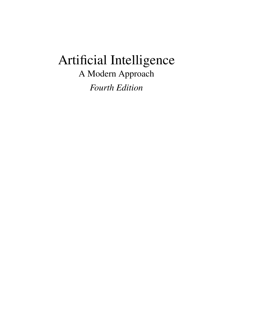# Artificial Intelligence

A Modern Approach

*Fourth Edition*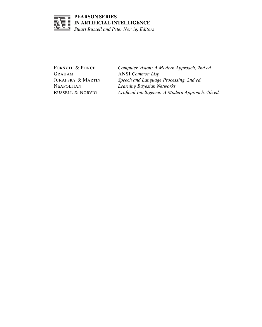

GRAHAM ANSI *Common Lisp*

FORSYTH & PONCE *Computer Vision: A Modern Approach, 2nd ed.* JURAFSKY & MARTIN *Speech and Language Processing, 2nd ed.* NEAPOLITAN *Learning Bayesian Networks* RUSSELL & NORVIG *Artificial Intelligence: A Modern Approach, 4th ed.*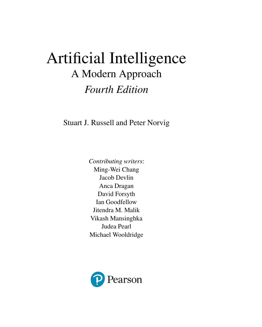# Artificial Intelligence A Modern Approach *Fourth Edition*

Stuart J. Russell and Peter Norvig

*Contributing writers*: Ming-Wei Chang Jacob Devlin Anca Dragan David Forsyth Ian Goodfellow Jitendra M. Malik Vikash Mansinghka Judea Pearl Michael Wooldridge

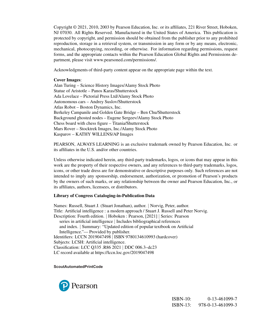Copyright © 2021, 2010, 2003 by Pearson Education, Inc. or its affiliates, 221 River Street, Hoboken, NJ 07030. All Rights Reserved. Manufactured in the United States of America. This publication is protected by copyright, and permission should be obtained from the publisher prior to any prohibited reproduction, storage in a retrieval system, or transmission in any form or by any means, electronic, mechanical, photocopying, recording, or otherwise. For information regarding permissions, request forms, and the appropriate contacts within the Pearson Education Global Rights and Permissions department, please visit www.pearsoned.com/permissions/.

Acknowledgments of third-party content appear on the appropriate page within the text.

#### Cover Images:

Alan Turing – Science History Images/Alamy Stock Photo Statue of Aristotle – Panos Karas/Shutterstock Ada Lovelace – Pictorial Press Ltd/Alamy Stock Photo Autonomous cars – Andrey Suslov/Shutterstock Atlas Robot – Boston Dynamics, Inc. Berkeley Campanile and Golden Gate Bridge – Ben Chu/Shutterstock Background ghosted nodes – Eugene Sergeev/Alamy Stock Photo Chess board with chess figure – Titania/Shutterstock Mars Rover – Stocktrek Images, Inc./Alamy Stock Photo Kasparov – KATHY WILLENS/AP Images

PEARSON, ALWAYS LEARNING is an exclusive trademark owned by Pearson Education, Inc. or its affiliates in the U.S. and/or other countries.

Unless otherwise indicated herein, any third-party trademarks, logos, or icons that may appear in this work are the property of their respective owners, and any references to third-party trademarks, logos, icons, or other trade dress are for demonstrative or descriptive purposes only. Such references are not intended to imply any sponsorship, endorsement, authorization, or promotion of Pearson's products by the owners of such marks, or any relationship between the owner and Pearson Education, Inc., or its affiliates, authors, licensees, or distributors.

#### Library of Congress Cataloging-in-Publication Data

Names: Russell, Stuart J. (Stuart Jonathan), author. | Norvig, Peter, author. Title: Artificial intelligence : a modern approach / Stuart J. Russell and Peter Norvig. Description: Fourth edition. | Hoboken : Pearson, [2021] | Series: Pearson series in artificial intelligence | Includes bibliographical references and index. | Summary: "Updated edition of popular textbook on Artificial Intelligence."— Provided by publisher. Identifiers: LCCN 2019047498 | ISBN 9780134610993 (hardcover) Subjects: LCSH: Artificial intelligence. Classification: LCC Q335 .R86 2021 | DDC 006.3–dc23 LC record available at https://lccn.loc.gov/2019047498

#### **ScoutAutomatedPrintCode**

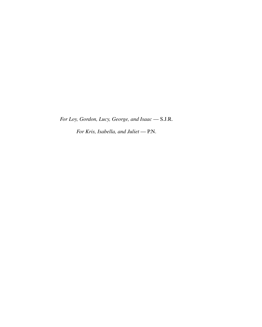*For Loy, Gordon, Lucy, George, and Isaac* — S.J.R.

*For Kris, Isabella, and Juliet* — P.N.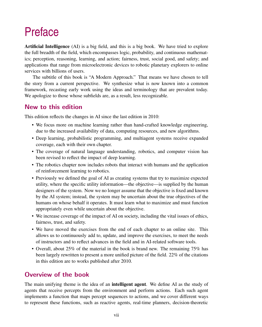## Preface

Artificial Intelligence (AI) is a big field, and this is a big book. We have tried to explore the full breadth of the field, which encompasses logic, probability, and continuous mathematics; perception, reasoning, learning, and action; fairness, trust, social good, and safety; and applications that range from microelectronic devices to robotic planetary explorers to online services with billions of users.

The subtitle of this book is "A Modern Approach." That means we have chosen to tell the story from a current perspective. We synthesize what is now known into a common framework, recasting early work using the ideas and terminology that are prevalent today. We apologize to those whose subfields are, as a result, less recognizable.

### New to this edition

This edition reflects the changes in AI since the last edition in 2010:

- We focus more on machine learning rather than hand-crafted knowledge engineering, due to the increased availability of data, computing resources, and new algorithms.
- Deep learning, probabilistic programming, and multiagent systems receive expanded coverage, each with their own chapter.
- The coverage of natural language understanding, robotics, and computer vision has been revised to reflect the impact of deep learning.
- The robotics chapter now includes robots that interact with humans and the application of reinforcement learning to robotics.
- Previously we defined the goal of AI as creating systems that try to maximize expected utility, where the specific utility information—the objective—is supplied by the human designers of the system. Now we no longer assume that the objective is fixed and known by the AI system; instead, the system may be uncertain about the true objectives of the humans on whose behalf it operates. It must learn what to maximize and must function appropriately even while uncertain about the objective.
- We increase coverage of the impact of AI on society, including the vital issues of ethics, fairness, trust, and safety.
- We have moved the exercises from the end of each chapter to an online site. This allows us to continuously add to, update, and improve the exercises, to meet the needs of instructors and to reflect advances in the field and in AI-related software tools.
- Overall, about 25% of the material in the book is brand new. The remaining 75% has been largely rewritten to present a more unified picture of the field. 22% of the citations in this edition are to works published after 2010.

## Overview of the book

The main unifying theme is the idea of an **intelligent agent**. We define AI as the study of agents that receive percepts from the environment and perform actions. Each such agent implements a function that maps percept sequences to actions, and we cover different ways to represent these functions, such as reactive agents, real-time planners, decision-theoretic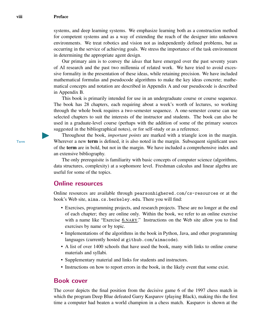systems, and deep learning systems. We emphasize learning both as a construction method for competent systems and as a way of extending the reach of the designer into unknown environments. We treat robotics and vision not as independently defined problems, but as occurring in the service of achieving goals. We stress the importance of the task environment in determining the appropriate agent design.

Our primary aim is to convey the *ideas* that have emerged over the past seventy years of AI research and the past two millennia of related work. We have tried to avoid excessive formality in the presentation of these ideas, while retaining precision. We have included mathematical formulas and pseudocode algorithms to make the key ideas concrete; mathematical concepts and notation are described in Appendix A and our pseudocode is described in Appendix B.

This book is primarily intended for use in an undergraduate course or course sequence. The book has 28 chapters, each requiring about a week's worth of lectures, so working through the whole book requires a two-semester sequence. A one-semester course can use selected chapters to suit the interests of the instructor and students. The book can also be used in a graduate-level course (perhaps with the addition of some of the primary sources suggested in the bibliographical notes), or for self-study or as a reference.

◮ Throughout the book, *important points* are marked with a triangle icon in the margin.  $Term$  Wherever a new term is defined, it is also noted in the margin. Subsequent significant uses of the term are in bold, but not in the margin. We have included a comprehensive index and an extensive bibliography.

> The only prerequisite is familiarity with basic concepts of computer science (algorithms, data structures, complexity) at a sophomore level. Freshman calculus and linear algebra are useful for some of the topics.

### Online resources

Online resources are available through pearsonhighered.com/cs-resources or at the book's Web site, aima.cs.berkeley.edu. There you will find:

- Exercises, programming projects, and research projects. These are no longer at the end of each chapter; they are online only. Within the book, we refer to an online exercise with a name like "Exercise 6.NARY." Instructions on the Web site allow you to find exercises by name or by topic.
- Implementations of the algorithms in the book in Python, Java, and other programming languages (currently hosted at github.com/aimacode).
- A list of over 1400 schools that have used the book, many with links to online course materials and syllabi.
- Supplementary material and links for students and instructors.
- Instructions on how to report errors in the book, in the likely event that some exist.

### Book cover

The cover depicts the final position from the decisive game 6 of the 1997 chess match in which the program Deep Blue defeated Garry Kasparov (playing Black), making this the first time a computer had beaten a world champion in a chess match. Kasparov is shown at the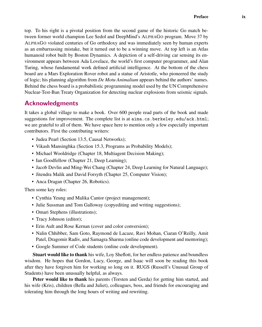top. To his right is a pivotal position from the second game of the historic Go match between former world champion Lee Sedol and DeepMind's ALPHAGO program. Move 37 by ALPHAGO violated centuries of Go orthodoxy and was immediately seen by human experts as an embarrassing mistake, but it turned out to be a winning move. At top left is an Atlas humanoid robot built by Boston Dynamics. A depiction of a self-driving car sensing its environment appears between Ada Lovelace, the world's first computer programmer, and Alan Turing, whose fundamental work defined artificial intelligence. At the bottom of the chess board are a Mars Exploration Rover robot and a statue of Aristotle, who pioneered the study of logic; his planning algorithm from *De Motu Animalium* appears behind the authors' names. Behind the chess board is a probabilistic programming model used by the UN Comprehensive Nuclear-Test-Ban Treaty Organization for detecting nuclear explosions from seismic signals.

### Acknowledgments

It takes a global village to make a book. Over 600 people read parts of the book and made suggestions for improvement. The complete list is at aima.cs.berkeley.edu/ack.html; we are grateful to all of them. We have space here to mention only a few especially important contributors. First the contributing writers:

- Judea Pearl (Section 13.5, Causal Networks);
- Vikash Mansinghka (Section 15.3, Programs as Probability Models);
- Michael Wooldridge (Chapter 18, Multiagent Decision Making);
- Ian Goodfellow (Chapter 21, Deep Learning);
- Jacob Devlin and Ming-Wei Chang (Chapter 24, Deep Learning for Natural Language);
- Jitendra Malik and David Forsyth (Chapter 25, Computer Vision);
- Anca Dragan (Chapter 26, Robotics).

Then some key roles:

- Cynthia Yeung and Malika Cantor (project management);
- Julie Sussman and Tom Galloway (copyediting and writing suggestions);
- Omari Stephens (illustrations);
- Tracy Johnson (editor);
- Erin Ault and Rose Kernan (cover and color conversion);
- Nalin Chhibber, Sam Goto, Raymond de Lacaze, Ravi Mohan, Ciaran O'Reilly, Amit Patel, Dragomir Radiv, and Samagra Sharma (online code development and mentoring);
- Google Summer of Code students (online code development).

Stuart would like to thank his wife, Loy Sheflott, for her endless patience and boundless wisdom. He hopes that Gordon, Lucy, George, and Isaac will soon be reading this book after they have forgiven him for working so long on it. RUGS (Russell's Unusual Group of Students) have been unusually helpful, as always.

Peter would like to thank his parents (Torsten and Gerda) for getting him started, and his wife (Kris), children (Bella and Juliet), colleagues, boss, and friends for encouraging and tolerating him through the long hours of writing and rewriting.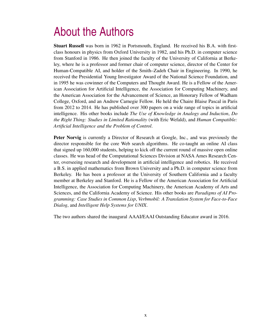# About the Authors

Stuart Russell was born in 1962 in Portsmouth, England. He received his B.A. with firstclass honours in physics from Oxford University in 1982, and his Ph.D. in computer science from Stanford in 1986. He then joined the faculty of the University of California at Berkeley, where he is a professor and former chair of computer science, director of the Center for Human-Compatible AI, and holder of the Smith–Zadeh Chair in Engineering. In 1990, he received the Presidential Young Investigator Award of the National Science Foundation, and in 1995 he was cowinner of the Computers and Thought Award. He is a Fellow of the American Association for Artificial Intelligence, the Association for Computing Machinery, and the American Association for the Advancement of Science, an Honorary Fellow of Wadham College, Oxford, and an Andrew Carnegie Fellow. He held the Chaire Blaise Pascal in Paris from 2012 to 2014. He has published over 300 papers on a wide range of topics in artificial intelligence. His other books include *The Use of Knowledge in Analogy and Induction*, *Do the Right Thing: Studies in Limited Rationality* (with Eric Wefald), and *Human Compatible: Artificial Intelligence and the Problem of Control*.

Peter Norvig is currently a Director of Research at Google, Inc., and was previously the director responsible for the core Web search algorithms. He co-taught an online AI class that signed up 160,000 students, helping to kick off the current round of massive open online classes. He was head of the Computational Sciences Division at NASA Ames Research Center, overseeing research and development in artificial intelligence and robotics. He received a B.S. in applied mathematics from Brown University and a Ph.D. in computer science from Berkeley. He has been a professor at the University of Southern California and a faculty member at Berkeley and Stanford. He is a Fellow of the American Association for Artificial Intelligence, the Association for Computing Machinery, the American Academy of Arts and Sciences, and the California Academy of Science. His other books are *Paradigms of AI Programming: Case Studies in Common Lisp*, *Verbmobil: A Translation System for Face-to-Face Dialog*, and *Intelligent Help Systems for UNIX*.

The two authors shared the inaugural AAAI/EAAI Outstanding Educator award in 2016.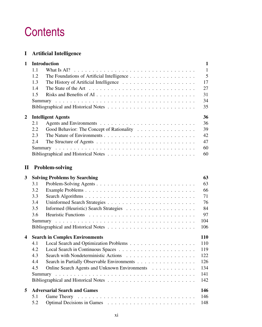# **Contents**

## I Artificial Intelligence

| 1. |     | <b>Introduction</b>                       |                |
|----|-----|-------------------------------------------|----------------|
|    | 1.1 |                                           | $\mathbf{1}$   |
|    | 1.2 |                                           | $\overline{5}$ |
|    | 1.3 |                                           | 17             |
|    | 1.4 |                                           | 27             |
|    | 1.5 |                                           | 31             |
|    |     |                                           | 34             |
|    |     |                                           |                |
|    |     |                                           | 35             |
| 2  |     | <b>Intelligent Agents</b>                 | 36             |
|    | 2.1 |                                           |                |
|    | 2.2 | Good Behavior: The Concept of Rationality | 39             |
|    | 2.3 |                                           | 36<br>42       |
|    | 2.4 |                                           | 47             |
|    |     |                                           | 60             |

## II Problem-solving

| 3                       |                                       | <b>Solving Problems by Searching</b>          | 63  |  |  |
|-------------------------|---------------------------------------|-----------------------------------------------|-----|--|--|
|                         | 3.1                                   |                                               | 63  |  |  |
|                         | 3.2                                   |                                               | 66  |  |  |
|                         | 3.3                                   |                                               | 71  |  |  |
|                         | 3.4                                   |                                               | 76  |  |  |
|                         | 3.5                                   |                                               | 84  |  |  |
|                         | 3.6                                   |                                               | 97  |  |  |
|                         |                                       |                                               | 104 |  |  |
|                         |                                       |                                               | 106 |  |  |
| $\overline{\mathbf{4}}$ | <b>Search in Complex Environments</b> |                                               |     |  |  |
|                         | 4.1                                   |                                               | 110 |  |  |
|                         | 4.2                                   |                                               | 119 |  |  |
|                         | 4.3                                   |                                               | 122 |  |  |
|                         | 4.4                                   | Search in Partially Observable Environments   | 126 |  |  |
|                         | 4.5                                   | Online Search Agents and Unknown Environments | 134 |  |  |
|                         |                                       |                                               | 141 |  |  |
|                         |                                       |                                               | 142 |  |  |
| 5                       |                                       | <b>Adversarial Search and Games</b>           | 146 |  |  |
|                         | 5.1                                   |                                               | 146 |  |  |
|                         | 5.2                                   |                                               | 148 |  |  |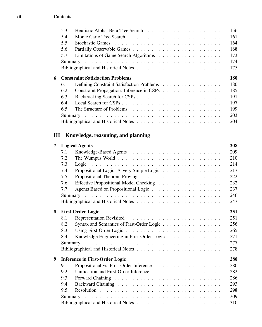|   | 5.3 |                                         | 156        |
|---|-----|-----------------------------------------|------------|
|   | 5.4 |                                         | 161        |
|   | 5.5 |                                         | 164        |
|   | 5.6 |                                         | 168        |
|   | 5.7 |                                         | 173        |
|   |     |                                         | 174        |
|   |     |                                         | 175        |
| 6 |     | <b>Constraint Satisfaction Problems</b> | <b>180</b> |
|   | 6.1 |                                         | 180        |
|   | 6.2 |                                         | 185        |
|   | 6.3 |                                         | 191        |
|   | 6.4 |                                         | 197        |
|   | 6.5 |                                         | 199        |
|   |     |                                         | 203        |
|   |     |                                         | 204        |
| Ш |     | Knowledge, reasoning, and planning      |            |
| 7 |     | <b>Logical Agents</b>                   | 208        |
|   | 7.1 |                                         | 209        |

|   | 7.1 |                                            | 209 |
|---|-----|--------------------------------------------|-----|
|   | 7.2 |                                            | 210 |
|   | 7.3 |                                            | 214 |
|   | 7.4 | Propositional Logic: A Very Simple Logic   | 217 |
|   | 7.5 |                                            | 222 |
|   | 7.6 |                                            | 232 |
|   | 7.7 |                                            | 237 |
|   |     |                                            | 246 |
|   |     |                                            | 247 |
| 8 |     | <b>First-Order Logic</b>                   | 251 |
|   | 8.1 |                                            | 251 |
|   | 8.2 |                                            | 256 |
|   | 8.3 |                                            | 265 |
|   | 8.4 | Knowledge Engineering in First-Order Logic | 271 |
|   |     |                                            | 277 |
|   |     |                                            | 278 |
| 9 |     | <b>Inference in First-Order Logic</b>      | 280 |
|   | 9.1 |                                            | 280 |
|   | 9.2 |                                            | 282 |
|   | 9.3 |                                            | 286 |
|   | 9.4 |                                            | 293 |
|   | 9.5 |                                            | 298 |
|   |     |                                            | 309 |
|   |     |                                            | 310 |
|   |     |                                            |     |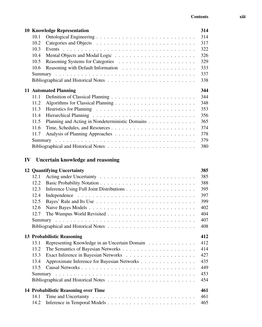|      | <b>10 Knowledge Representation</b>              | 314 |
|------|-------------------------------------------------|-----|
| 10.1 |                                                 | 314 |
| 10.2 |                                                 | 317 |
| 10.3 |                                                 | 322 |
| 10.4 |                                                 | 326 |
| 10.5 |                                                 | 329 |
| 10.6 |                                                 | 333 |
|      |                                                 | 337 |
|      |                                                 | 338 |
|      | 11 Automated Planning                           | 344 |
| 11.1 |                                                 | 344 |
| 11.2 |                                                 | 348 |
| 11.3 |                                                 | 353 |
| 11.4 |                                                 | 356 |
| 11.5 | Planning and Acting in Nondeterministic Domains | 365 |
| 11.6 |                                                 | 374 |
| 11.7 |                                                 | 378 |
|      |                                                 | 379 |
|      |                                                 | 380 |

## IV Uncertain knowledge and reasoning

|      | <b>12 Quantifying Uncertainty</b>             | 385 |
|------|-----------------------------------------------|-----|
| 12.1 |                                               | 385 |
| 12.2 |                                               | 388 |
| 12.3 |                                               | 395 |
| 12.4 |                                               | 397 |
| 12.5 |                                               | 399 |
| 12.6 |                                               | 402 |
| 12.7 |                                               | 404 |
|      |                                               | 407 |
|      |                                               | 408 |
|      | 13 Probabilistic Reasoning                    | 412 |
| 13.1 | Representing Knowledge in an Uncertain Domain | 412 |
| 13.2 |                                               | 414 |
| 13.3 |                                               | 427 |
| 13.4 | Approximate Inference for Bayesian Networks   | 435 |
| 13.5 |                                               | 449 |
|      |                                               | 453 |
|      |                                               | 454 |
|      | 14 Probabilistic Reasoning over Time          | 461 |
| 14.1 |                                               | 461 |
| 14.2 |                                               | 465 |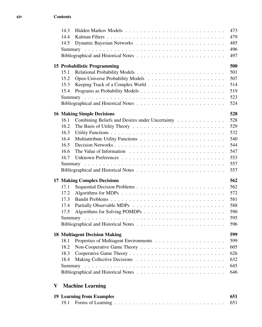### xiv Contents

|   | 14.3                                                    | 473 |
|---|---------------------------------------------------------|-----|
|   | 14.4                                                    | 479 |
|   | 14.5                                                    | 485 |
|   |                                                         | 496 |
|   |                                                         | 497 |
|   | 15 Probabilistic Programming                            | 500 |
|   | 15.1                                                    | 501 |
|   | 15.2                                                    | 507 |
|   | 15.3                                                    | 514 |
|   | 15.4                                                    | 519 |
|   |                                                         | 523 |
|   |                                                         | 524 |
|   | <b>16 Making Simple Decisions</b>                       | 528 |
|   | 16.1<br>Combining Beliefs and Desires under Uncertainty | 528 |
|   | 16.2                                                    | 529 |
|   | 16.3                                                    | 532 |
|   | 16.4                                                    | 540 |
|   | 16.5                                                    | 544 |
|   | 16.6                                                    | 547 |
|   | 16.7                                                    | 553 |
|   |                                                         | 557 |
|   |                                                         | 557 |
|   | <b>17 Making Complex Decisions</b>                      | 562 |
|   | 17.1                                                    | 562 |
|   | 17.2                                                    | 572 |
|   | 17.3                                                    | 581 |
|   | 17.4                                                    | 588 |
|   | 17.5                                                    | 590 |
|   |                                                         | 595 |
|   |                                                         | 596 |
|   | <b>18 Multiagent Decision Making</b>                    | 599 |
|   | 18.1                                                    | 599 |
|   | 18.2                                                    | 605 |
|   | 18.3                                                    | 626 |
|   | 18.4                                                    | 632 |
|   |                                                         | 645 |
|   |                                                         | 646 |
| V | <b>Machine Learning</b>                                 |     |
|   |                                                         |     |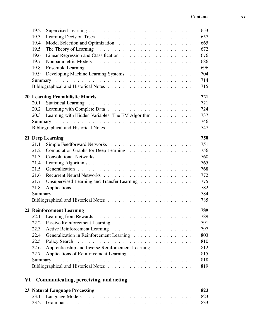| 19.2 |                                                   | 653 |
|------|---------------------------------------------------|-----|
| 19.3 |                                                   | 657 |
| 19.4 |                                                   | 665 |
| 19.5 |                                                   | 672 |
| 19.6 |                                                   | 676 |
| 19.7 |                                                   | 686 |
| 19.8 |                                                   | 696 |
| 19.9 |                                                   | 704 |
|      |                                                   | 714 |
|      |                                                   | 715 |
|      | <b>20 Learning Probabilistic Models</b>           | 721 |
| 20.1 |                                                   | 721 |
| 20.2 |                                                   | 724 |
| 20.3 | Learning with Hidden Variables: The EM Algorithm  | 737 |
|      |                                                   | 746 |
|      |                                                   | 747 |
|      | 21 Deep Learning                                  | 750 |
| 21.1 |                                                   | 751 |
| 21.2 |                                                   | 756 |
| 21.3 |                                                   | 760 |
| 21.4 |                                                   | 765 |
| 21.5 |                                                   | 768 |
| 21.6 |                                                   | 772 |
| 21.7 | Unsupervised Learning and Transfer Learning       | 775 |
| 21.8 |                                                   | 782 |
|      |                                                   | 784 |
|      |                                                   | 785 |
|      | 22 Reinforcement Learning                         | 789 |
| 22.1 |                                                   | 789 |
| 22.2 |                                                   | 791 |
| 22.3 |                                                   | 797 |
| 22.4 | Generalization in Reinforcement Learning          | 803 |
| 22.5 | Policy Search                                     | 810 |
| 22.6 | Apprenticeship and Inverse Reinforcement Learning | 812 |
| 22.7 |                                                   | 815 |
|      |                                                   | 818 |
|      |                                                   | 819 |
|      |                                                   |     |

## VI Communicating, perceiving, and acting

|  | 23 Natural Language Processing | 823 |
|--|--------------------------------|-----|
|  |                                |     |
|  |                                |     |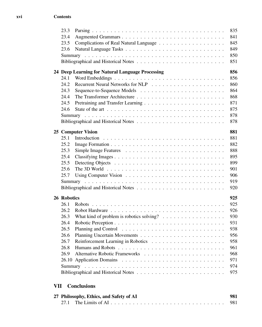| 23.3        |                                                                                             | 835 |
|-------------|---------------------------------------------------------------------------------------------|-----|
| 23.4        |                                                                                             | 841 |
| 23.5        |                                                                                             | 845 |
| 23.6        |                                                                                             | 849 |
|             |                                                                                             | 850 |
|             |                                                                                             | 851 |
|             | 24 Deep Learning for Natural Language Processing                                            | 856 |
| 24.1        |                                                                                             | 856 |
| 24.2        |                                                                                             | 860 |
| 24.3        |                                                                                             | 864 |
| 24.4        |                                                                                             | 868 |
| 24.5        |                                                                                             | 871 |
| 24.6        |                                                                                             | 875 |
|             |                                                                                             | 878 |
|             |                                                                                             | 878 |
|             |                                                                                             |     |
|             | 25 Computer Vision                                                                          | 881 |
| 25.1        |                                                                                             | 881 |
| 25.2        |                                                                                             | 882 |
| 25.3        |                                                                                             | 888 |
| 25.4        |                                                                                             | 895 |
| 25.5        |                                                                                             | 899 |
| 25.6        | The 3D World $\ldots \ldots \ldots \ldots \ldots \ldots \ldots \ldots \ldots \ldots \ldots$ | 901 |
| 25.7        |                                                                                             | 906 |
|             |                                                                                             | 919 |
|             |                                                                                             | 920 |
| 26 Robotics |                                                                                             | 925 |
| 26.1        |                                                                                             | 925 |
| 26.2        |                                                                                             | 926 |
| 26.3        | What kind of problem is robotics solving? $\ldots \ldots \ldots \ldots \ldots$              | 930 |
| 26.4        |                                                                                             | 931 |
| 26.5        |                                                                                             | 938 |
| 26.6        |                                                                                             | 956 |
| 26.7        |                                                                                             | 958 |
| 26.8        |                                                                                             | 961 |
| 26.9        |                                                                                             | 968 |
|             |                                                                                             | 971 |
|             |                                                                                             | 974 |
|             |                                                                                             | 975 |
|             |                                                                                             |     |

## VII Conclusions

|  | 27 Philosophy, Ethics, and Safety of AI | 981 |
|--|-----------------------------------------|-----|
|  |                                         | 981 |